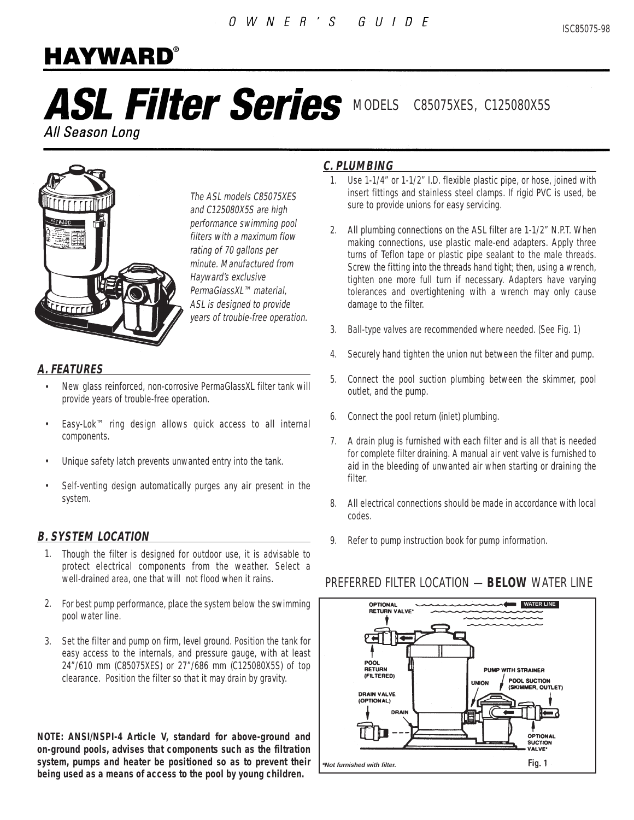# **HAYWARD®**

# ASL Filter Series MODELS C85075XES, C125080X5S

All Season Long



The ASL models C85075XES and C125080X5S are high performance swimming pool filters with a maximum flow rating of 70 gallons per minute. Manufactured from Hayward's exclusive PermaGlassXL™ material, ASL is designed to provide years of trouble-free operation.

### **A. FEATURES**

- New glass reinforced, non-corrosive PermaGlassXL filter tank will provide years of trouble-free operation. •
- Easy-Lok™ ring design allows quick access to all internal components. •
- Unique safety latch prevents unwanted entry into the tank. •
- Self-venting design automatically purges any air present in the system. •

### **B. SYSTEM LOCATION**

- 1. Though the filter is designed for outdoor use, it is advisable to protect electrical components from the weather. Select a well-drained area, one that will not flood when it rains.
- For best pump performance, place the system below the swimming 2. pool water line.
- Set the filter and pump on firm, level ground. Position the tank for 3. easy access to the internals, and pressure gauge, with at least 24"/610 mm (C85075XES) or 27"/686 mm (C125080X5S) of top clearance. Position the filter so that it may drain by gravity.

**NOTE: ANSI/NSPI-4 Article V, standard for above-ground and on-ground pools, advises that components such as the filtration system, pumps and heater be positioned so as to prevent their being used as a means of access to the pool by young children.**

### **C. PLUMBING**

- Use 1-1/4" or 1-1/2" I.D. flexible plastic pipe, or hose, joined with 1. insert fittings and stainless steel clamps. If rigid PVC is used, be sure to provide unions for easy servicing.
- All plumbing connections on the ASL filter are 1-1/2" N.P.T. When 2. making connections, use plastic male-end adapters. Apply three turns of Teflon tape or plastic pipe sealant to the male threads. Screw the fitting into the threads hand tight; then, using a wrench, tighten one more full turn if necessary. Adapters have varying tolerances and overtightening with a wrench may only cause damage to the filter.
- Ball-type valves are recommended where needed. (See Fig. 1) 3.
- Securely hand tighten the union nut between the filter and pump. 4.
- Connect the pool suction plumbing between the skimmer, pool outlet, and the pump. 5.
- Connect the pool return (inlet) plumbing. 6.
- A drain plug is furnished with each filter and is all that is needed 7. for complete filter draining. A manual air vent valve is furnished to aid in the bleeding of unwanted air when starting or draining the filter.
- All electrical connections should be made in accordance with local 8. codes.
- 9. Refer to pump instruction book for pump information.

### PREFERRED FILTER LOCATION —**BELOW** WATER LINE

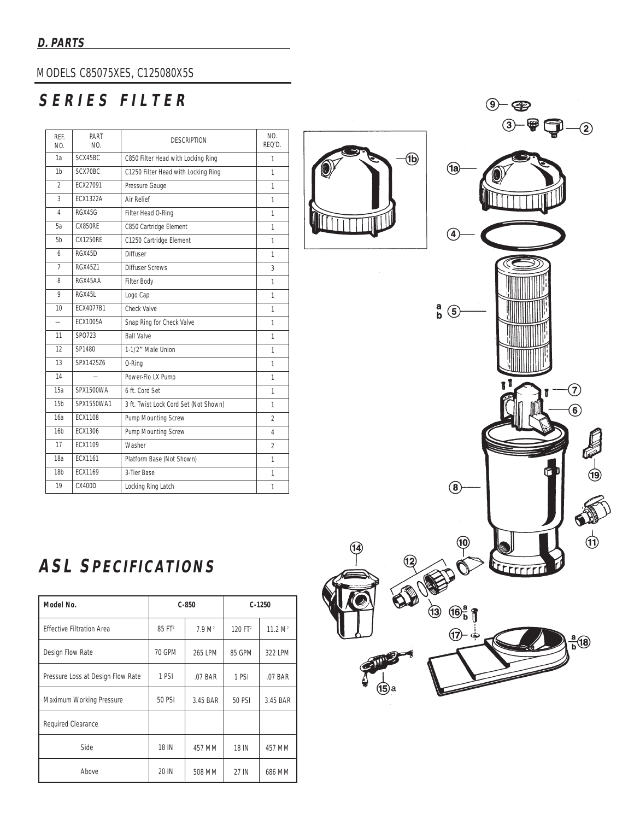### MODELS C85075XES, C125080X5S

# SERIES FILTER

| RFF.<br>NO.              | PART<br>NO.     | <b>DESCRIPTION</b>                    | NO.<br>RFO'D.  |
|--------------------------|-----------------|---------------------------------------|----------------|
| 1a                       | SCX45BC         | C850 Filter Head with Locking Ring    | 1              |
| 1 <sub>b</sub>           | SCX70BC         | C1250 Filter Head with Locking Ring   | 1              |
| $\mathfrak{D}$           | FCX27091        | Pressure Gauge                        | 1              |
| 3                        | <b>FCX1322A</b> | Air Relief                            | $\mathbf{1}$   |
| 4                        | <b>RGX45G</b>   | Filter Head O-Ring                    | 1              |
| 5а                       | CX850RE         | C850 Cartridge Element                | 1              |
| 5b                       | CX1250RF        | C1250 Cartridge Element               | 1              |
| 6                        | RGX45D          | Diffuser                              | 1              |
| 7                        | <b>RGX4571</b>  | <b>Diffuser Screws</b>                | 3              |
| 8                        | RGX45AA         | Filter Body                           | 1              |
| 9                        | RGX45L          | Logo Cap                              | 1              |
| 10                       | FCX4077B1       | Check Valve                           | 1              |
| $\overline{\phantom{0}}$ | <b>ECX1005A</b> | Snap Ring for Check Valve             | 1              |
| 11                       | SP0723          | <b>Ball Valve</b>                     | 1              |
| 12                       | SP1480          | 1-1/2" Male Union                     | 1              |
| 13                       | SPX1425Z6       | 0-Ring                                | 1              |
| 14                       |                 | Power-Flo LX Pump                     | 1              |
| 15a                      | SPX1500WA       | 6 ft. Cord Set                        | 1              |
| 15 <sub>b</sub>          | SPX1550WA1      | 3 ft. Twist Lock Cord Set (Not Shown) | 1              |
| 16a                      | <b>ECX1108</b>  | Pump Mounting Screw                   | 2              |
| 16 <sub>b</sub>          | FCX1306         | Pump Mounting Screw                   | 4              |
| 17                       | FCX1109         | Washer                                | $\mathfrak{D}$ |
| 18а                      | ECX1161         | Platform Base (Not Shown)             | 1              |
| 18b                      | ECX1169         | 3-Tier Base                           | 1              |
| 19                       | <b>CX400D</b>   | Locking Ring Latch                    | 1              |

**ASL SPECIFICATIONS**

| Model No.                         | $C-850$            |                    | $C-1250$            |                     |
|-----------------------------------|--------------------|--------------------|---------------------|---------------------|
| <b>Effective Filtration Area</b>  | 85 FT <sup>2</sup> | 7.9 M <sup>2</sup> | 120 FT <sup>2</sup> | 11.2 M <sup>2</sup> |
| Design Flow Rate                  | 70 GPM             | 265 LPM            | 85 GPM              | 322 LPM             |
| Pressure Loss at Design Flow Rate | 1 PSI              | .07 BAR            | 1 PSI               | .07 BAR             |
| Maximum Working Pressure          | <b>50 PSI</b>      | 3.45 BAR           | 50 PSI              | 3.45 BAR            |
| Required Clearance                |                    |                    |                     |                     |
| Side                              | 18 IN              | 457 MM             | 18 IN               | 457 MM              |
| Above                             | 20 IN              | 508 MM             | 27 IN               | 686 MM              |



(14)



 $9 - 2$ 

 $3 - 9 - 2$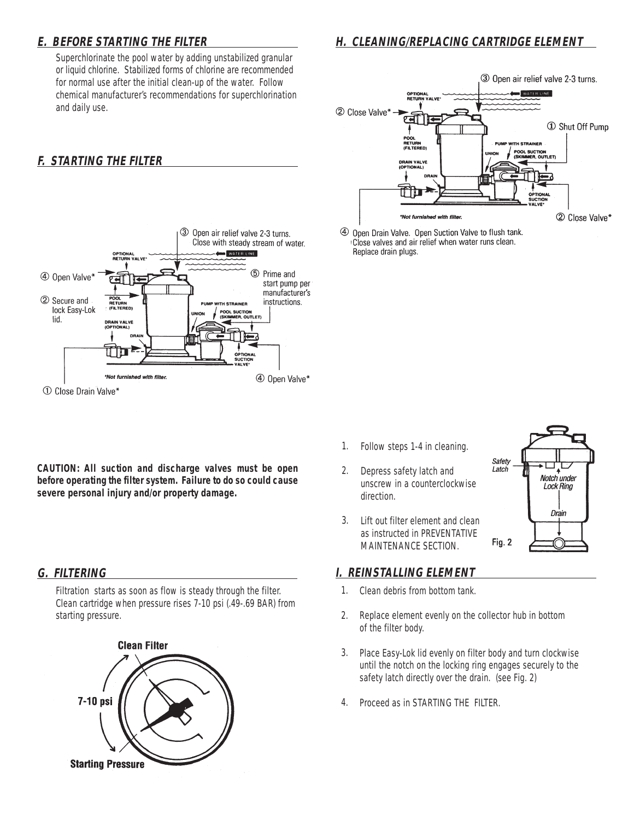### **E. BEFORE STARTING THE FILTER**

Superchlorinate the pool water by adding unstabilized granular or liquid chlorine. Stabilized forms of chlorine are recommended for normal use after the initial clean-up of the water. Follow chemical manufacturer's recommendations for superchlorination and daily use.

### **F. STARTING THE FILTER**



3 Open air relief valve 2-3 turns. WATER LINE OPTION 2 Close Valve\* 1 Shut Off Pump **NITH STRAINER POOL SUCTION<br>(SKIMMER, OUTLET) DRAIN VALVE** ╓ 2 Close Valve\* \*Not furnished with filter

4 Open Drain Valve. Open Suction Valve to flush tank. Close valves and air relief when water runs clean. Replace drain plugs.

- Follow steps 1-4 in cleaning. 1.
	- Depress safety latch and unscrew in a counterclockwise direction. 2.
	- Lift out filter element and clean as instructed in PREVENTATIVE MAINTENANCE SECTION. 3.

# Safety Latch Notch under **Lock Ring** Drain Fig. 2

Filtration starts as soon as flow is steady through the filter. Clean cartridge when pressure rises 7-10 psi (.49-.69 BAR) from starting pressure.

**CAUTION: All suction and discharge valves must be open before operating the filter system. Failure to do so could cause**

**severe personal injury and/or property damage.**



- **G. FILTERING I. REINSTALLING ELEMENT** 
	- Clean debris from bottom tank. 1.
	- Replace element evenly on the collector hub in bottom of the filter body. 2.
	- Place Easy-Lok lid evenly on filter body and turn clockwise until the notch on the locking ring engages securely to the safety latch directly over the drain. (see Fig. 2) 3.
	- Proceed as in STARTING THE FILTER. 4.

### **H. CLEANING/REPLACING CARTRIDGE ELEMENT**